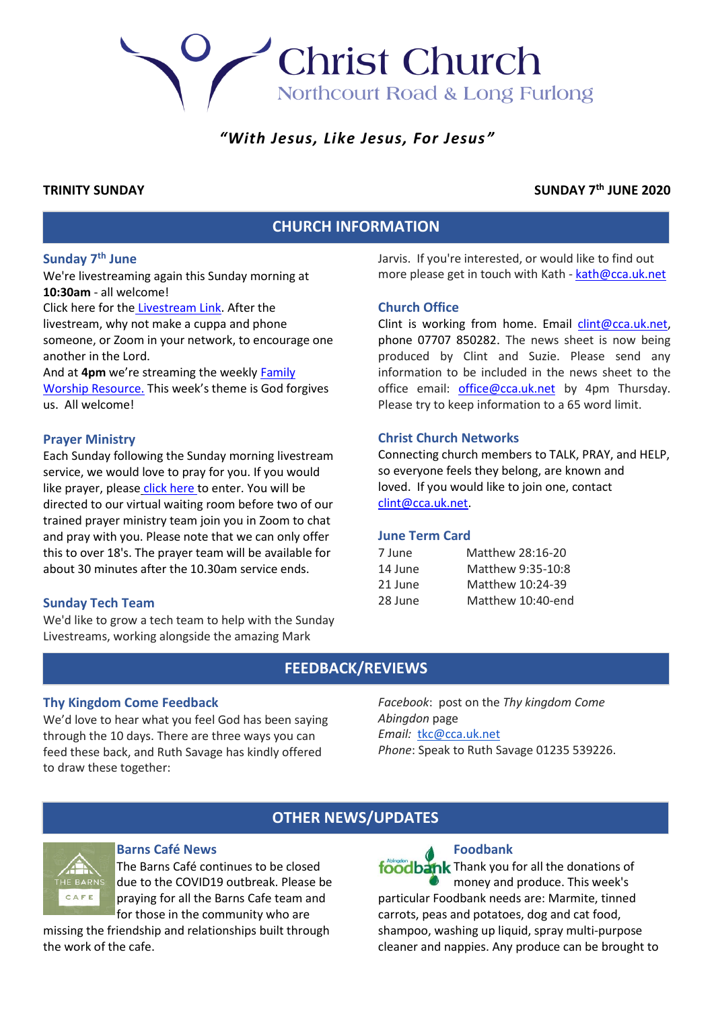Northcourt Road & Long Furlong

**Christ Church** 

# *"With Jesus, Like Jesus, For Jesus"*

## **TRINITY SUNDAY SUNDAY 7th JUNE 2020**

# **CHURCH INFORMATION**

# **Sunday 7th June**

We're livestreaming again this Sunday morning at **10:30am** - all welcome!

Click here for the [Livestream Link.](https://youtu.be/VNddbwMw16Q) After the livestream, why not make a cuppa and phone someone, or Zoom in your network, to encourage one another in the Lord.

And at **4pm** we're streaming the weekly [Family](https://youtu.be/pAIqiAw-UcQ)  [Worship Resource.](https://youtu.be/pAIqiAw-UcQ) This week's theme is God forgives us. All welcome!

#### **Prayer Ministry**

Each Sunday following the Sunday morning livestream service, we would love to pray for you. If you would lik[e](https://zoom.us/j/94957771641?pwd=a3luQnN2WmZIRWpzaTNVdEE4WWVxZz09) prayer, please [click here](https://zoom.us/j/94957771641?pwd=a3luQnN2WmZIRWpzaTNVdEE4WWVxZz09) to enter. You will be directed to our virtual waiting room before two of our trained prayer ministry team join you in Zoom to chat and pray with you. Please note that we can only offer this to over 18's. The prayer team will be available for about 30 minutes after the 10.30am service ends.

## **Sunday Tech Team**

We'd like to grow a tech team to help with the Sunday Livestreams, working alongside the amazing Mark

Jarvis. If you're interested, or would like to find out more please get in touch with Kath - [kath@cca.uk.net](mailto:kath@cca.uk.net)

## **Church Office**

Clint is working from home. Email [clint@cca.uk.net,](mailto:clint@cca.uk.net) phone 07707 850282. The news sheet is now being produced by Clint and Suzie. Please send any information to be included in the news sheet to the office email: [office@cca.uk.net](mailto:office@cca.uk.net) by 4pm Thursday. Please try to keep information to a 65 word limit.

## **Christ Church Networks**

Connecting church members to TALK, PRAY, and HELP, so everyone feels they belong, are known and loved. If you would like to join one, contact [clint@cca.uk.net.](mailto:clint@cca.uk.net)

## **June Term Card**

| 7 June  | Matthew 28:16-20  |
|---------|-------------------|
| 14 June | Matthew 9:35-10:8 |
| 21 June | Matthew 10:24-39  |
| 28 June | Matthew 10:40-end |

# **FEEDBACK/REVIEWS**

## **Thy Kingdom Come Feedback**

We'd love to hear what you feel God has been saying through the 10 days. There are three ways you can feed these back, and Ruth Savage has kindly offered to draw these together:

*Facebook*: post on the *Thy kingdom Come Abingdon* page *Email:* [tkc@cca.uk.net](mailto:tkc@cca.uk.net) *Phone*: Speak to Ruth Savage 01235 539226.

# **OTHER NEWS/UPDATES**



# **Barns Café News**

The Barns Café continues to be closed due to the COVID19 outbreak. Please be praying for all the Barns Cafe team and for those in the community who are

missing the friendship and relationships built through the work of the cafe.

# **Foodbank**

foodbank Thank you for all the donations of money and produce. This week's particular Foodbank needs are: Marmite, tinned carrots, peas and potatoes, dog and cat food, shampoo, washing up liquid, spray multi-purpose cleaner and nappies. Any produce can be brought to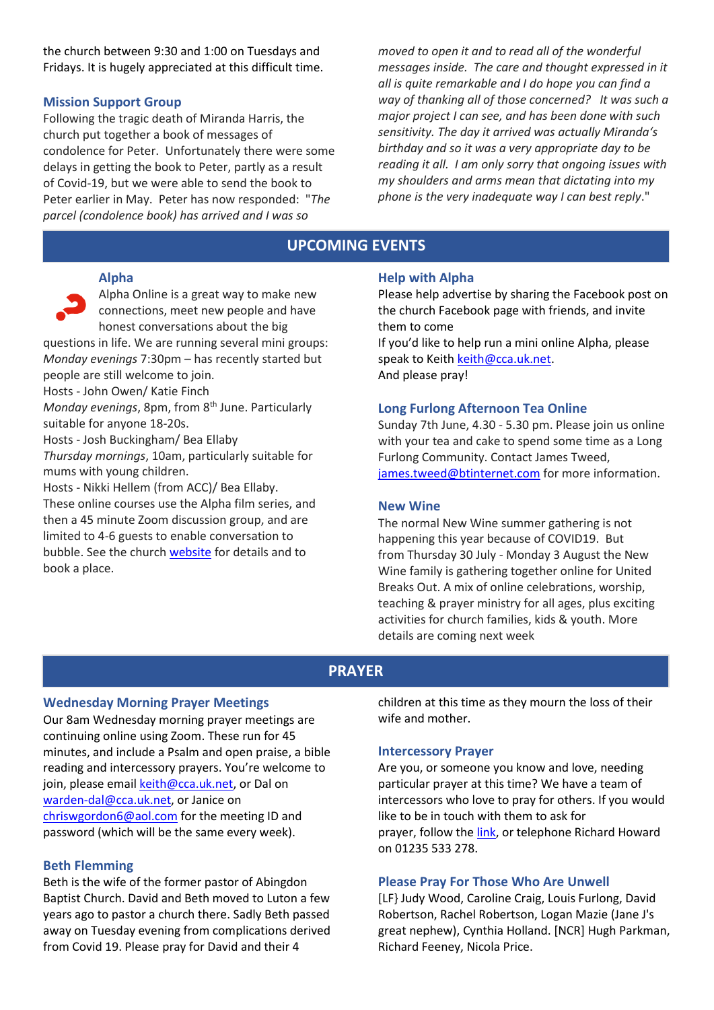the church between 9:30 and 1:00 on Tuesdays and Fridays. It is hugely appreciated at this difficult time.

## **Mission Support Group**

Following the tragic death of Miranda Harris, the church put together a book of messages of condolence for Peter. Unfortunately there were some delays in getting the book to Peter, partly as a result of Covid-19, but we were able to send the book to Peter earlier in May. Peter has now responded: "*The parcel (condolence book) has arrived and I was so* 

*moved to open it and to read all of the wonderful messages inside. The care and thought expressed in it all is quite remarkable and I do hope you can find a way of thanking all of those concerned? It was such a major project I can see, and has been done with such sensitivity. The day it arrived was actually Miranda's birthday and so it was a very appropriate day to be reading it all. I am only sorry that ongoing issues with my shoulders and arms mean that dictating into my phone is the very inadequate way I can best reply*."

# **UPCOMING EVENTS**

#### **Alpha**

Alpha Online is a great way to make new connections, meet new people and have honest conversations about the big

questions in life. We are running several mini groups: *Monday evenings* 7:30pm – has recently started but people are still welcome to join.

Hosts - John Owen/ Katie Finch

*Monday evenings*, 8pm, from 8<sup>th</sup> June. Particularly suitable for anyone 18-20s.

Hosts - Josh Buckingham/ Bea Ellaby

*Thursday mornings*, 10am, particularly suitable for mums with young children.

Hosts - Nikki Hellem (from ACC)/ Bea Ellaby. These online courses use the Alpha film series, and then a 45 minute Zoom discussion group, and are limited to 4-6 guests to enable conversation to bubble. See the church [website](http://www.cca.uk.net/explore-faith/) for details and to book a place.

#### **Help with Alpha**

Please help advertise by sharing the Facebook post on the church Facebook page with friends, and invite them to come

If you'd like to help run a mini online Alpha, please speak to Keith [keith@cca.uk.net.](mailto:keith@cca.uk.net) And please pray!

#### **Long Furlong Afternoon Tea Online**

Sunday 7th June, 4.30 - 5.30 pm. Please join us online with your tea and cake to spend some time as a Long Furlong Community. Contact James Tweed, [james.tweed@btinternet.com](mailto:james.tweed@btinternet.com) for more information.

#### **New Wine**

The normal New Wine summer gathering is not happening this year because of COVID19. But from Thursday 30 July - Monday 3 August the New Wine family is gathering together online for United Breaks Out. A mix of online celebrations, worship, teaching & prayer ministry for all ages, plus exciting activities for church families, kids & youth. More details are coming next week

## **PRAYER**

#### **Wednesday Morning Prayer Meetings**

Our 8am Wednesday morning prayer meetings are continuing online using Zoom. These run for 45 minutes, and include a Psalm and open praise, a bible reading and intercessory prayers. You're welcome to join, please emai[l keith@cca.uk.net,](mailto:keith@cca.uk.net) or Dal on [warden-dal@cca.uk.net,](mailto:warden-dal@cca.uk.net) or Janice on [chriswgordon6@aol.com](mailto:chriswgordon6@aol.com) for the meeting ID and password (which will be the same every week).

#### **Beth Flemming**

Beth is the wife of the former pastor of Abingdon Baptist Church. David and Beth moved to Luton a few years ago to pastor a church there. Sadly Beth passed away on Tuesday evening from complications derived from Covid 19. Please pray for David and their 4

children at this time as they mourn the loss of their wife and mother.

#### **Intercessory Prayer**

Are you, or someone you know and love, needing particular prayer at this time? We have a team of intercessors who love to pray for others. If you would like to be in touch with them to ask for prayer, follow th[e link,](https://docs.google.com/forms/d/e/1FAIpQLSfT-6Me8FrVVQa50ZUXThiDnzQ3aNU-nR12dM2JZQrD78vnLA/viewform) or telephone Richard Howard on 01235 533 278.

#### **Please Pray For Those Who Are Unwell**

[LF} Judy Wood, Caroline Craig, Louis Furlong, David Robertson, Rachel Robertson, Logan Mazie (Jane J's great nephew), Cynthia Holland. [NCR] Hugh Parkman, Richard Feeney, Nicola Price.